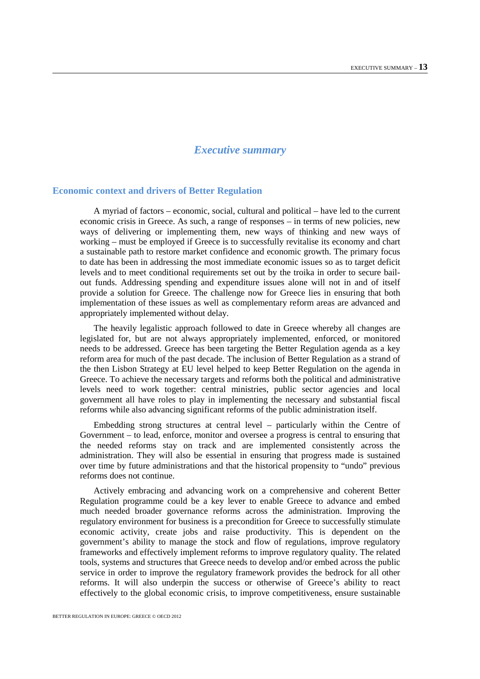# *Executive summary*

### **Economic context and drivers of Better Regulation**

A myriad of factors – economic, social, cultural and political – have led to the current economic crisis in Greece. As such, a range of responses – in terms of new policies, new ways of delivering or implementing them, new ways of thinking and new ways of working – must be employed if Greece is to successfully revitalise its economy and chart a sustainable path to restore market confidence and economic growth. The primary focus to date has been in addressing the most immediate economic issues so as to target deficit levels and to meet conditional requirements set out by the troika in order to secure bailout funds. Addressing spending and expenditure issues alone will not in and of itself provide a solution for Greece. The challenge now for Greece lies in ensuring that both implementation of these issues as well as complementary reform areas are advanced and appropriately implemented without delay.

The heavily legalistic approach followed to date in Greece whereby all changes are legislated for, but are not always appropriately implemented, enforced, or monitored needs to be addressed. Greece has been targeting the Better Regulation agenda as a key reform area for much of the past decade. The inclusion of Better Regulation as a strand of the then Lisbon Strategy at EU level helped to keep Better Regulation on the agenda in Greece. To achieve the necessary targets and reforms both the political and administrative levels need to work together: central ministries, public sector agencies and local government all have roles to play in implementing the necessary and substantial fiscal reforms while also advancing significant reforms of the public administration itself.

Embedding strong structures at central level – particularly within the Centre of Government – to lead, enforce, monitor and oversee a progress is central to ensuring that the needed reforms stay on track and are implemented consistently across the administration. They will also be essential in ensuring that progress made is sustained over time by future administrations and that the historical propensity to "undo" previous reforms does not continue.

Actively embracing and advancing work on a comprehensive and coherent Better Regulation programme could be a key lever to enable Greece to advance and embed much needed broader governance reforms across the administration. Improving the regulatory environment for business is a precondition for Greece to successfully stimulate economic activity, create jobs and raise productivity. This is dependent on the government's ability to manage the stock and flow of regulations, improve regulatory frameworks and effectively implement reforms to improve regulatory quality. The related tools, systems and structures that Greece needs to develop and/or embed across the public service in order to improve the regulatory framework provides the bedrock for all other reforms. It will also underpin the success or otherwise of Greece's ability to react effectively to the global economic crisis, to improve competitiveness, ensure sustainable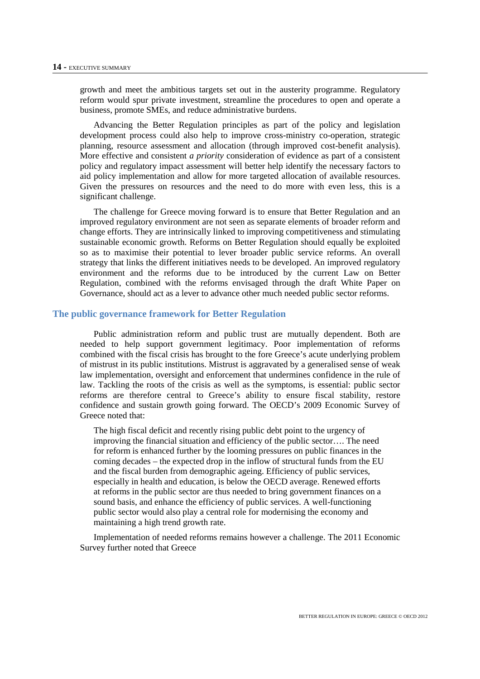growth and meet the ambitious targets set out in the austerity programme. Regulatory reform would spur private investment, streamline the procedures to open and operate a business, promote SMEs, and reduce administrative burdens.

Advancing the Better Regulation principles as part of the policy and legislation development process could also help to improve cross-ministry co-operation, strategic planning, resource assessment and allocation (through improved cost-benefit analysis). More effective and consistent *a priority* consideration of evidence as part of a consistent policy and regulatory impact assessment will better help identify the necessary factors to aid policy implementation and allow for more targeted allocation of available resources. Given the pressures on resources and the need to do more with even less, this is a significant challenge.

The challenge for Greece moving forward is to ensure that Better Regulation and an improved regulatory environment are not seen as separate elements of broader reform and change efforts. They are intrinsically linked to improving competitiveness and stimulating sustainable economic growth. Reforms on Better Regulation should equally be exploited so as to maximise their potential to lever broader public service reforms. An overall strategy that links the different initiatives needs to be developed. An improved regulatory environment and the reforms due to be introduced by the current Law on Better Regulation, combined with the reforms envisaged through the draft White Paper on Governance, should act as a lever to advance other much needed public sector reforms.

### **The public governance framework for Better Regulation**

Public administration reform and public trust are mutually dependent. Both are needed to help support government legitimacy. Poor implementation of reforms combined with the fiscal crisis has brought to the fore Greece's acute underlying problem of mistrust in its public institutions. Mistrust is aggravated by a generalised sense of weak law implementation, oversight and enforcement that undermines confidence in the rule of law. Tackling the roots of the crisis as well as the symptoms, is essential: public sector reforms are therefore central to Greece's ability to ensure fiscal stability, restore confidence and sustain growth going forward. The OECD's 2009 Economic Survey of Greece noted that:

The high fiscal deficit and recently rising public debt point to the urgency of improving the financial situation and efficiency of the public sector…. The need for reform is enhanced further by the looming pressures on public finances in the coming decades – the expected drop in the inflow of structural funds from the EU and the fiscal burden from demographic ageing. Efficiency of public services, especially in health and education, is below the OECD average. Renewed efforts at reforms in the public sector are thus needed to bring government finances on a sound basis, and enhance the efficiency of public services. A well-functioning public sector would also play a central role for modernising the economy and maintaining a high trend growth rate.

Implementation of needed reforms remains however a challenge. The 2011 Economic Survey further noted that Greece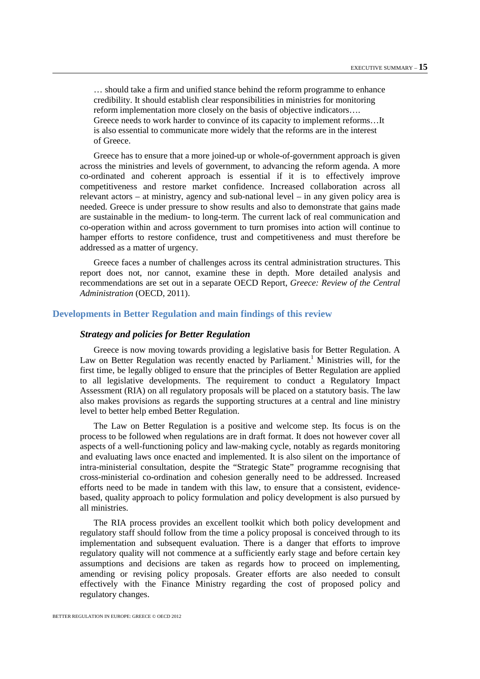… should take a firm and unified stance behind the reform programme to enhance credibility. It should establish clear responsibilities in ministries for monitoring reform implementation more closely on the basis of objective indicators…. Greece needs to work harder to convince of its capacity to implement reforms…It is also essential to communicate more widely that the reforms are in the interest of Greece.

Greece has to ensure that a more joined-up or whole-of-government approach is given across the ministries and levels of government, to advancing the reform agenda. A more co-ordinated and coherent approach is essential if it is to effectively improve competitiveness and restore market confidence. Increased collaboration across all relevant actors – at ministry, agency and sub-national level – in any given policy area is needed. Greece is under pressure to show results and also to demonstrate that gains made are sustainable in the medium- to long-term. The current lack of real communication and co-operation within and across government to turn promises into action will continue to hamper efforts to restore confidence, trust and competitiveness and must therefore be addressed as a matter of urgency.

Greece faces a number of challenges across its central administration structures. This report does not, nor cannot, examine these in depth. More detailed analysis and recommendations are set out in a separate OECD Report, *Greece: Review of the Central Administration* (OECD, 2011).

### **Developments in Better Regulation and main findings of this review**

### *Strategy and policies for Better Regulation*

Greece is now moving towards providing a legislative basis for Better Regulation. A Law on Better Regulation was recently enacted by Parliament.<sup>1</sup> Ministries will, for the first time, be legally obliged to ensure that the principles of Better Regulation are applied to all legislative developments. The requirement to conduct a Regulatory Impact Assessment (RIA) on all regulatory proposals will be placed on a statutory basis. The law also makes provisions as regards the supporting structures at a central and line ministry level to better help embed Better Regulation.

The Law on Better Regulation is a positive and welcome step. Its focus is on the process to be followed when regulations are in draft format. It does not however cover all aspects of a well-functioning policy and law-making cycle, notably as regards monitoring and evaluating laws once enacted and implemented. It is also silent on the importance of intra-ministerial consultation, despite the "Strategic State" programme recognising that cross-ministerial co-ordination and cohesion generally need to be addressed. Increased efforts need to be made in tandem with this law, to ensure that a consistent, evidencebased, quality approach to policy formulation and policy development is also pursued by all ministries.

The RIA process provides an excellent toolkit which both policy development and regulatory staff should follow from the time a policy proposal is conceived through to its implementation and subsequent evaluation. There is a danger that efforts to improve regulatory quality will not commence at a sufficiently early stage and before certain key assumptions and decisions are taken as regards how to proceed on implementing, amending or revising policy proposals. Greater efforts are also needed to consult effectively with the Finance Ministry regarding the cost of proposed policy and regulatory changes.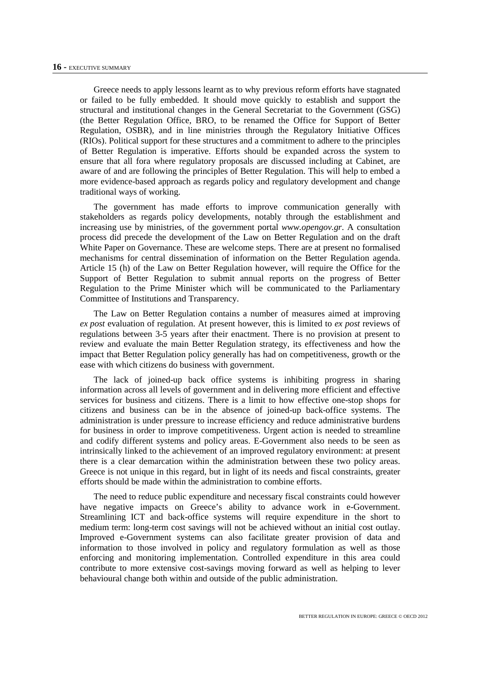Greece needs to apply lessons learnt as to why previous reform efforts have stagnated or failed to be fully embedded. It should move quickly to establish and support the structural and institutional changes in the General Secretariat to the Government (GSG) (the Better Regulation Office, BRO, to be renamed the Office for Support of Better Regulation, OSBR), and in line ministries through the Regulatory Initiative Offices (RIOs). Political support for these structures and a commitment to adhere to the principles of Better Regulation is imperative. Efforts should be expanded across the system to ensure that all fora where regulatory proposals are discussed including at Cabinet, are aware of and are following the principles of Better Regulation. This will help to embed a more evidence-based approach as regards policy and regulatory development and change traditional ways of working.

The government has made efforts to improve communication generally with stakeholders as regards policy developments, notably through the establishment and increasing use by ministries, of the government portal *www.opengov.gr*. A consultation process did precede the development of the Law on Better Regulation and on the draft White Paper on Governance. These are welcome steps. There are at present no formalised mechanisms for central dissemination of information on the Better Regulation agenda. Article 15 (h) of the Law on Better Regulation however, will require the Office for the Support of Better Regulation to submit annual reports on the progress of Better Regulation to the Prime Minister which will be communicated to the Parliamentary Committee of Institutions and Transparency.

The Law on Better Regulation contains a number of measures aimed at improving *ex post* evaluation of regulation. At present however, this is limited to *ex post* reviews of regulations between 3-5 years after their enactment. There is no provision at present to review and evaluate the main Better Regulation strategy, its effectiveness and how the impact that Better Regulation policy generally has had on competitiveness, growth or the ease with which citizens do business with government.

The lack of joined-up back office systems is inhibiting progress in sharing information across all levels of government and in delivering more efficient and effective services for business and citizens. There is a limit to how effective one-stop shops for citizens and business can be in the absence of joined-up back-office systems. The administration is under pressure to increase efficiency and reduce administrative burdens for business in order to improve competitiveness. Urgent action is needed to streamline and codify different systems and policy areas. E-Government also needs to be seen as intrinsically linked to the achievement of an improved regulatory environment: at present there is a clear demarcation within the administration between these two policy areas. Greece is not unique in this regard, but in light of its needs and fiscal constraints, greater efforts should be made within the administration to combine efforts.

The need to reduce public expenditure and necessary fiscal constraints could however have negative impacts on Greece's ability to advance work in e-Government. Streamlining ICT and back-office systems will require expenditure in the short to medium term: long-term cost savings will not be achieved without an initial cost outlay. Improved e-Government systems can also facilitate greater provision of data and information to those involved in policy and regulatory formulation as well as those enforcing and monitoring implementation. Controlled expenditure in this area could contribute to more extensive cost-savings moving forward as well as helping to lever behavioural change both within and outside of the public administration.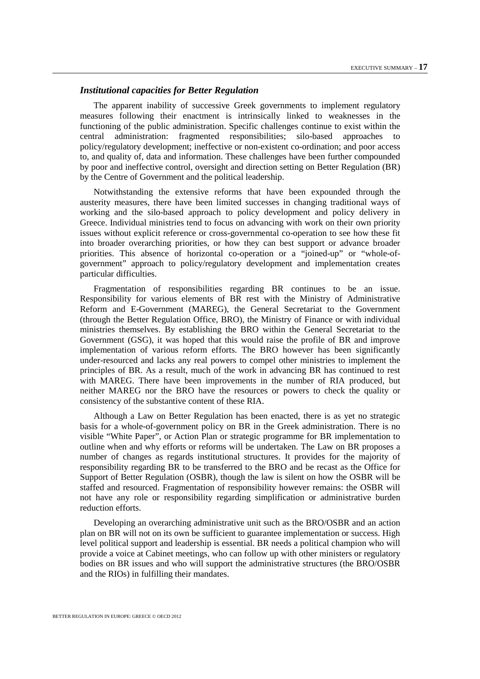#### *Institutional capacities for Better Regulation*

The apparent inability of successive Greek governments to implement regulatory measures following their enactment is intrinsically linked to weaknesses in the functioning of the public administration. Specific challenges continue to exist within the central administration: fragmented responsibilities; silo-based approaches to policy/regulatory development; ineffective or non-existent co-ordination; and poor access to, and quality of, data and information. These challenges have been further compounded by poor and ineffective control, oversight and direction setting on Better Regulation (BR) by the Centre of Government and the political leadership.

Notwithstanding the extensive reforms that have been expounded through the austerity measures, there have been limited successes in changing traditional ways of working and the silo-based approach to policy development and policy delivery in Greece. Individual ministries tend to focus on advancing with work on their own priority issues without explicit reference or cross-governmental co-operation to see how these fit into broader overarching priorities, or how they can best support or advance broader priorities. This absence of horizontal co-operation or a "joined-up" or "whole-ofgovernment" approach to policy/regulatory development and implementation creates particular difficulties.

Fragmentation of responsibilities regarding BR continues to be an issue. Responsibility for various elements of BR rest with the Ministry of Administrative Reform and E-Government (MAREG), the General Secretariat to the Government (through the Better Regulation Office, BRO), the Ministry of Finance or with individual ministries themselves. By establishing the BRO within the General Secretariat to the Government (GSG), it was hoped that this would raise the profile of BR and improve implementation of various reform efforts. The BRO however has been significantly under-resourced and lacks any real powers to compel other ministries to implement the principles of BR. As a result, much of the work in advancing BR has continued to rest with MAREG. There have been improvements in the number of RIA produced, but neither MAREG nor the BRO have the resources or powers to check the quality or consistency of the substantive content of these RIA.

Although a Law on Better Regulation has been enacted, there is as yet no strategic basis for a whole-of-government policy on BR in the Greek administration. There is no visible "White Paper", or Action Plan or strategic programme for BR implementation to outline when and why efforts or reforms will be undertaken. The Law on BR proposes a number of changes as regards institutional structures. It provides for the majority of responsibility regarding BR to be transferred to the BRO and be recast as the Office for Support of Better Regulation (OSBR), though the law is silent on how the OSBR will be staffed and resourced. Fragmentation of responsibility however remains: the OSBR will not have any role or responsibility regarding simplification or administrative burden reduction efforts.

Developing an overarching administrative unit such as the BRO/OSBR and an action plan on BR will not on its own be sufficient to guarantee implementation or success. High level political support and leadership is essential. BR needs a political champion who will provide a voice at Cabinet meetings, who can follow up with other ministers or regulatory bodies on BR issues and who will support the administrative structures (the BRO/OSBR and the RIOs) in fulfilling their mandates.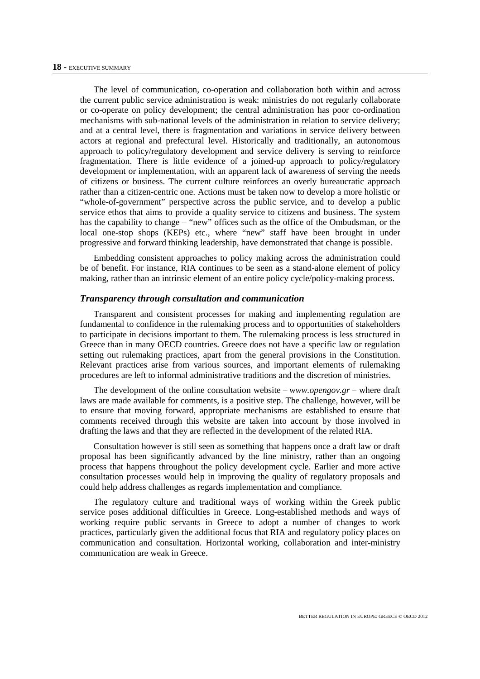The level of communication, co-operation and collaboration both within and across the current public service administration is weak: ministries do not regularly collaborate or co-operate on policy development; the central administration has poor co-ordination mechanisms with sub-national levels of the administration in relation to service delivery; and at a central level, there is fragmentation and variations in service delivery between actors at regional and prefectural level. Historically and traditionally, an autonomous approach to policy/regulatory development and service delivery is serving to reinforce fragmentation. There is little evidence of a joined-up approach to policy/regulatory development or implementation, with an apparent lack of awareness of serving the needs of citizens or business. The current culture reinforces an overly bureaucratic approach rather than a citizen-centric one. Actions must be taken now to develop a more holistic or "whole-of-government" perspective across the public service, and to develop a public service ethos that aims to provide a quality service to citizens and business. The system has the capability to change – "new" offices such as the office of the Ombudsman, or the local one-stop shops (KEPs) etc., where "new" staff have been brought in under progressive and forward thinking leadership, have demonstrated that change is possible.

Embedding consistent approaches to policy making across the administration could be of benefit. For instance, RIA continues to be seen as a stand-alone element of policy making, rather than an intrinsic element of an entire policy cycle/policy-making process.

### *Transparency through consultation and communication*

Transparent and consistent processes for making and implementing regulation are fundamental to confidence in the rulemaking process and to opportunities of stakeholders to participate in decisions important to them. The rulemaking process is less structured in Greece than in many OECD countries. Greece does not have a specific law or regulation setting out rulemaking practices, apart from the general provisions in the Constitution. Relevant practices arise from various sources, and important elements of rulemaking procedures are left to informal administrative traditions and the discretion of ministries.

The development of the online consultation website – *www.opengov.gr –* where draft laws are made available for comments, is a positive step. The challenge, however, will be to ensure that moving forward, appropriate mechanisms are established to ensure that comments received through this website are taken into account by those involved in drafting the laws and that they are reflected in the development of the related RIA.

Consultation however is still seen as something that happens once a draft law or draft proposal has been significantly advanced by the line ministry, rather than an ongoing process that happens throughout the policy development cycle. Earlier and more active consultation processes would help in improving the quality of regulatory proposals and could help address challenges as regards implementation and compliance.

The regulatory culture and traditional ways of working within the Greek public service poses additional difficulties in Greece. Long-established methods and ways of working require public servants in Greece to adopt a number of changes to work practices, particularly given the additional focus that RIA and regulatory policy places on communication and consultation. Horizontal working, collaboration and inter-ministry communication are weak in Greece.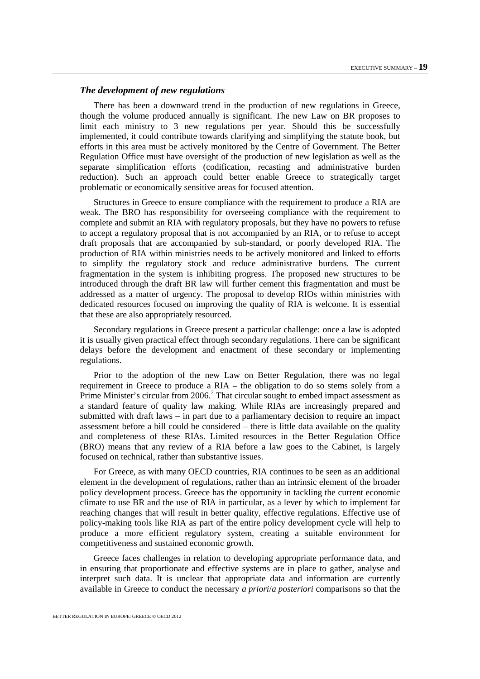#### *The development of new regulations*

There has been a downward trend in the production of new regulations in Greece, though the volume produced annually is significant. The new Law on BR proposes to limit each ministry to 3 new regulations per year. Should this be successfully implemented, it could contribute towards clarifying and simplifying the statute book, but efforts in this area must be actively monitored by the Centre of Government. The Better Regulation Office must have oversight of the production of new legislation as well as the separate simplification efforts (codification, recasting and administrative burden reduction). Such an approach could better enable Greece to strategically target problematic or economically sensitive areas for focused attention.

Structures in Greece to ensure compliance with the requirement to produce a RIA are weak. The BRO has responsibility for overseeing compliance with the requirement to complete and submit an RIA with regulatory proposals, but they have no powers to refuse to accept a regulatory proposal that is not accompanied by an RIA, or to refuse to accept draft proposals that are accompanied by sub-standard, or poorly developed RIA. The production of RIA within ministries needs to be actively monitored and linked to efforts to simplify the regulatory stock and reduce administrative burdens. The current fragmentation in the system is inhibiting progress. The proposed new structures to be introduced through the draft BR law will further cement this fragmentation and must be addressed as a matter of urgency. The proposal to develop RIOs within ministries with dedicated resources focused on improving the quality of RIA is welcome. It is essential that these are also appropriately resourced.

Secondary regulations in Greece present a particular challenge: once a law is adopted it is usually given practical effect through secondary regulations. There can be significant delays before the development and enactment of these secondary or implementing regulations.

Prior to the adoption of the new Law on Better Regulation, there was no legal requirement in Greece to produce a RIA – the obligation to do so stems solely from a Prime Minister's circular from 2006.<sup>2</sup> That circular sought to embed impact assessment as a standard feature of quality law making. While RIAs are increasingly prepared and submitted with draft laws – in part due to a parliamentary decision to require an impact assessment before a bill could be considered – there is little data available on the quality and completeness of these RIAs. Limited resources in the Better Regulation Office (BRO) means that any review of a RIA before a law goes to the Cabinet, is largely focused on technical, rather than substantive issues.

For Greece, as with many OECD countries, RIA continues to be seen as an additional element in the development of regulations, rather than an intrinsic element of the broader policy development process. Greece has the opportunity in tackling the current economic climate to use BR and the use of RIA in particular, as a lever by which to implement far reaching changes that will result in better quality, effective regulations. Effective use of policy-making tools like RIA as part of the entire policy development cycle will help to produce a more efficient regulatory system, creating a suitable environment for competitiveness and sustained economic growth.

Greece faces challenges in relation to developing appropriate performance data, and in ensuring that proportionate and effective systems are in place to gather, analyse and interpret such data. It is unclear that appropriate data and information are currently available in Greece to conduct the necessary *a priori*/*a posteriori* comparisons so that the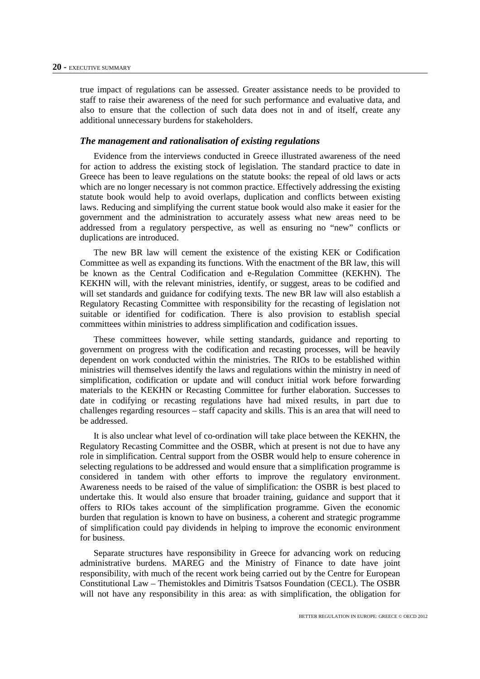true impact of regulations can be assessed. Greater assistance needs to be provided to staff to raise their awareness of the need for such performance and evaluative data, and also to ensure that the collection of such data does not in and of itself, create any additional unnecessary burdens for stakeholders.

### *The management and rationalisation of existing regulations*

Evidence from the interviews conducted in Greece illustrated awareness of the need for action to address the existing stock of legislation. The standard practice to date in Greece has been to leave regulations on the statute books: the repeal of old laws or acts which are no longer necessary is not common practice. Effectively addressing the existing statute book would help to avoid overlaps, duplication and conflicts between existing laws. Reducing and simplifying the current statue book would also make it easier for the government and the administration to accurately assess what new areas need to be addressed from a regulatory perspective, as well as ensuring no "new" conflicts or duplications are introduced.

The new BR law will cement the existence of the existing KEK or Codification Committee as well as expanding its functions. With the enactment of the BR law, this will be known as the Central Codification and e-Regulation Committee (KEKHN). The KEKHN will, with the relevant ministries, identify, or suggest, areas to be codified and will set standards and guidance for codifying texts. The new BR law will also establish a Regulatory Recasting Committee with responsibility for the recasting of legislation not suitable or identified for codification. There is also provision to establish special committees within ministries to address simplification and codification issues.

These committees however, while setting standards, guidance and reporting to government on progress with the codification and recasting processes, will be heavily dependent on work conducted within the ministries. The RIOs to be established within ministries will themselves identify the laws and regulations within the ministry in need of simplification, codification or update and will conduct initial work before forwarding materials to the KEKHN or Recasting Committee for further elaboration. Successes to date in codifying or recasting regulations have had mixed results, in part due to challenges regarding resources – staff capacity and skills. This is an area that will need to be addressed.

It is also unclear what level of co-ordination will take place between the KEKHN, the Regulatory Recasting Committee and the OSBR, which at present is not due to have any role in simplification. Central support from the OSBR would help to ensure coherence in selecting regulations to be addressed and would ensure that a simplification programme is considered in tandem with other efforts to improve the regulatory environment. Awareness needs to be raised of the value of simplification: the OSBR is best placed to undertake this. It would also ensure that broader training, guidance and support that it offers to RIOs takes account of the simplification programme. Given the economic burden that regulation is known to have on business, a coherent and strategic programme of simplification could pay dividends in helping to improve the economic environment for business.

Separate structures have responsibility in Greece for advancing work on reducing administrative burdens. MAREG and the Ministry of Finance to date have joint responsibility, with much of the recent work being carried out by the Centre for European Constitutional Law – Themistokles and Dimitris Tsatsos Foundation (CECL). The OSBR will not have any responsibility in this area: as with simplification, the obligation for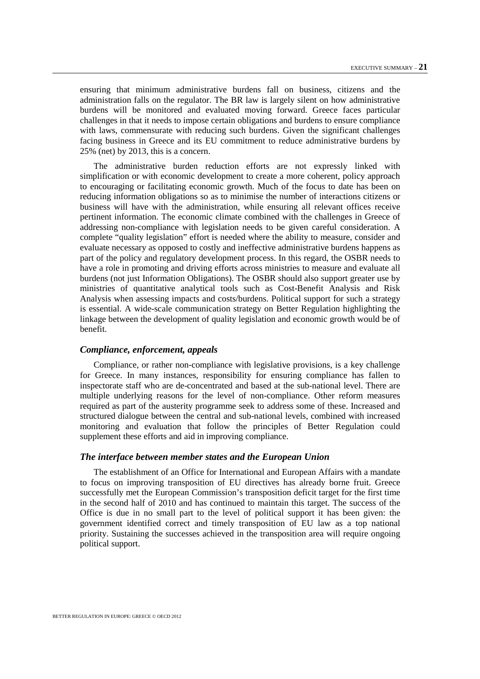ensuring that minimum administrative burdens fall on business, citizens and the administration falls on the regulator. The BR law is largely silent on how administrative burdens will be monitored and evaluated moving forward. Greece faces particular challenges in that it needs to impose certain obligations and burdens to ensure compliance with laws, commensurate with reducing such burdens. Given the significant challenges facing business in Greece and its EU commitment to reduce administrative burdens by 25% (net) by 2013, this is a concern.

The administrative burden reduction efforts are not expressly linked with simplification or with economic development to create a more coherent, policy approach to encouraging or facilitating economic growth. Much of the focus to date has been on reducing information obligations so as to minimise the number of interactions citizens or business will have with the administration, while ensuring all relevant offices receive pertinent information. The economic climate combined with the challenges in Greece of addressing non-compliance with legislation needs to be given careful consideration. A complete "quality legislation" effort is needed where the ability to measure, consider and evaluate necessary as opposed to costly and ineffective administrative burdens happens as part of the policy and regulatory development process. In this regard, the OSBR needs to have a role in promoting and driving efforts across ministries to measure and evaluate all burdens (not just Information Obligations). The OSBR should also support greater use by ministries of quantitative analytical tools such as Cost-Benefit Analysis and Risk Analysis when assessing impacts and costs/burdens. Political support for such a strategy is essential. A wide-scale communication strategy on Better Regulation highlighting the linkage between the development of quality legislation and economic growth would be of benefit.

### *Compliance, enforcement, appeals*

Compliance, or rather non-compliance with legislative provisions, is a key challenge for Greece. In many instances, responsibility for ensuring compliance has fallen to inspectorate staff who are de-concentrated and based at the sub-national level. There are multiple underlying reasons for the level of non-compliance. Other reform measures required as part of the austerity programme seek to address some of these. Increased and structured dialogue between the central and sub-national levels, combined with increased monitoring and evaluation that follow the principles of Better Regulation could supplement these efforts and aid in improving compliance.

#### *The interface between member states and the European Union*

The establishment of an Office for International and European Affairs with a mandate to focus on improving transposition of EU directives has already borne fruit. Greece successfully met the European Commission's transposition deficit target for the first time in the second half of 2010 and has continued to maintain this target. The success of the Office is due in no small part to the level of political support it has been given: the government identified correct and timely transposition of EU law as a top national priority. Sustaining the successes achieved in the transposition area will require ongoing political support.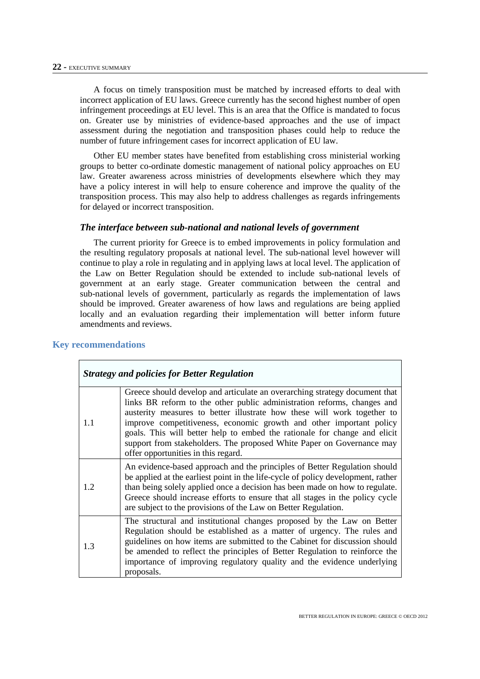A focus on timely transposition must be matched by increased efforts to deal with incorrect application of EU laws. Greece currently has the second highest number of open infringement proceedings at EU level. This is an area that the Office is mandated to focus on. Greater use by ministries of evidence-based approaches and the use of impact assessment during the negotiation and transposition phases could help to reduce the number of future infringement cases for incorrect application of EU law.

Other EU member states have benefited from establishing cross ministerial working groups to better co-ordinate domestic management of national policy approaches on EU law. Greater awareness across ministries of developments elsewhere which they may have a policy interest in will help to ensure coherence and improve the quality of the transposition process. This may also help to address challenges as regards infringements for delayed or incorrect transposition.

#### *The interface between sub-national and national levels of government*

The current priority for Greece is to embed improvements in policy formulation and the resulting regulatory proposals at national level. The sub-national level however will continue to play a role in regulating and in applying laws at local level. The application of the Law on Better Regulation should be extended to include sub-national levels of government at an early stage. Greater communication between the central and sub-national levels of government, particularly as regards the implementation of laws should be improved. Greater awareness of how laws and regulations are being applied locally and an evaluation regarding their implementation will better inform future amendments and reviews.

#### **Key recommendations**

| <b>Strategy and policies for Better Regulation</b> |                                                                                                                                                                                                                                                                                                                                                                                                                                                                                                      |
|----------------------------------------------------|------------------------------------------------------------------------------------------------------------------------------------------------------------------------------------------------------------------------------------------------------------------------------------------------------------------------------------------------------------------------------------------------------------------------------------------------------------------------------------------------------|
| 1.1                                                | Greece should develop and articulate an overarching strategy document that<br>links BR reform to the other public administration reforms, changes and<br>austerity measures to better illustrate how these will work together to<br>improve competitiveness, economic growth and other important policy<br>goals. This will better help to embed the rationale for change and elicit<br>support from stakeholders. The proposed White Paper on Governance may<br>offer opportunities in this regard. |
| 1.2                                                | An evidence-based approach and the principles of Better Regulation should<br>be applied at the earliest point in the life-cycle of policy development, rather<br>than being solely applied once a decision has been made on how to regulate.<br>Greece should increase efforts to ensure that all stages in the policy cycle<br>are subject to the provisions of the Law on Better Regulation.                                                                                                       |
| 1.3                                                | The structural and institutional changes proposed by the Law on Better<br>Regulation should be established as a matter of urgency. The rules and<br>guidelines on how items are submitted to the Cabinet for discussion should<br>be amended to reflect the principles of Better Regulation to reinforce the<br>importance of improving regulatory quality and the evidence underlying<br>proposals.                                                                                                 |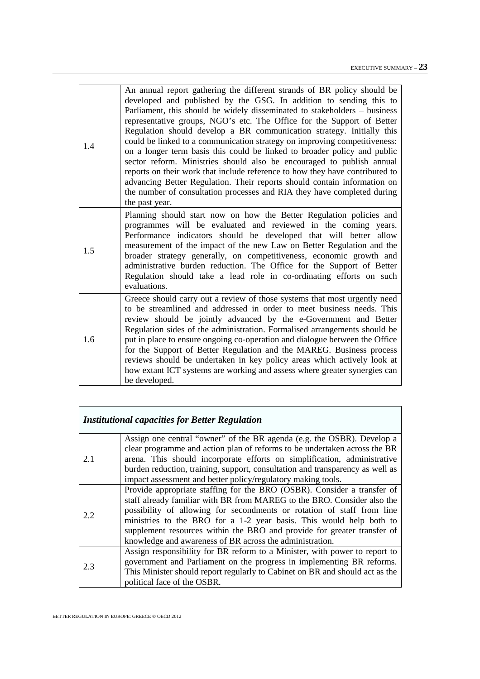| 1.4 | An annual report gathering the different strands of BR policy should be<br>developed and published by the GSG. In addition to sending this to<br>Parliament, this should be widely disseminated to stakeholders - business<br>representative groups, NGO's etc. The Office for the Support of Better<br>Regulation should develop a BR communication strategy. Initially this<br>could be linked to a communication strategy on improving competitiveness:<br>on a longer term basis this could be linked to broader policy and public<br>sector reform. Ministries should also be encouraged to publish annual<br>reports on their work that include reference to how they have contributed to<br>advancing Better Regulation. Their reports should contain information on<br>the number of consultation processes and RIA they have completed during<br>the past year. |
|-----|--------------------------------------------------------------------------------------------------------------------------------------------------------------------------------------------------------------------------------------------------------------------------------------------------------------------------------------------------------------------------------------------------------------------------------------------------------------------------------------------------------------------------------------------------------------------------------------------------------------------------------------------------------------------------------------------------------------------------------------------------------------------------------------------------------------------------------------------------------------------------|
| 1.5 | Planning should start now on how the Better Regulation policies and<br>programmes will be evaluated and reviewed in the coming years.<br>Performance indicators should be developed that will better allow<br>measurement of the impact of the new Law on Better Regulation and the<br>broader strategy generally, on competitiveness, economic growth and<br>administrative burden reduction. The Office for the Support of Better<br>Regulation should take a lead role in co-ordinating efforts on such<br>evaluations.                                                                                                                                                                                                                                                                                                                                               |
| 1.6 | Greece should carry out a review of those systems that most urgently need<br>to be streamlined and addressed in order to meet business needs. This<br>review should be jointly advanced by the e-Government and Better<br>Regulation sides of the administration. Formalised arrangements should be<br>put in place to ensure ongoing co-operation and dialogue between the Office<br>for the Support of Better Regulation and the MAREG. Business process<br>reviews should be undertaken in key policy areas which actively look at<br>how extant ICT systems are working and assess where greater synergies can<br>be developed.                                                                                                                                                                                                                                      |

| <b>Institutional capacities for Better Regulation</b> |                                                                                                                                                                                                                                                                                                                                                                                                                                            |
|-------------------------------------------------------|--------------------------------------------------------------------------------------------------------------------------------------------------------------------------------------------------------------------------------------------------------------------------------------------------------------------------------------------------------------------------------------------------------------------------------------------|
| 2.1                                                   | Assign one central "owner" of the BR agenda (e.g. the OSBR). Develop a<br>clear programme and action plan of reforms to be undertaken across the BR<br>arena. This should incorporate efforts on simplification, administrative<br>burden reduction, training, support, consultation and transparency as well as<br>impact assessment and better policy/regulatory making tools.                                                           |
| 2.2                                                   | Provide appropriate staffing for the BRO (OSBR). Consider a transfer of<br>staff already familiar with BR from MAREG to the BRO. Consider also the<br>possibility of allowing for secondments or rotation of staff from line<br>ministries to the BRO for a 1-2 year basis. This would help both to<br>supplement resources within the BRO and provide for greater transfer of<br>knowledge and awareness of BR across the administration. |
| 2.3                                                   | Assign responsibility for BR reform to a Minister, with power to report to<br>government and Parliament on the progress in implementing BR reforms.<br>This Minister should report regularly to Cabinet on BR and should act as the<br>political face of the OSBR.                                                                                                                                                                         |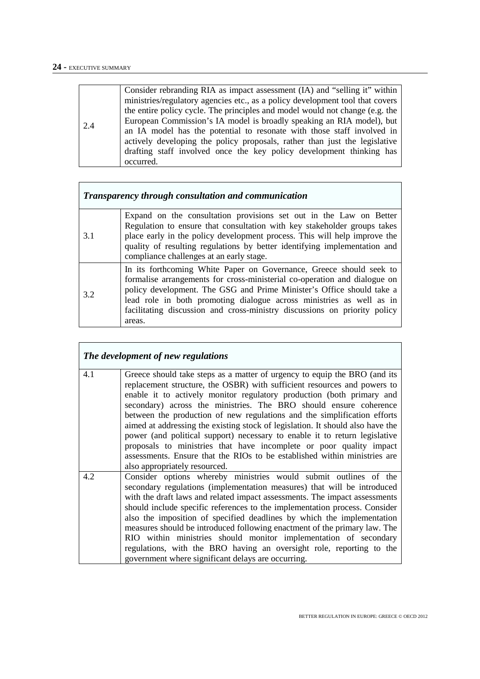# **24 -** EXECUTIVE SUMMARY

|     | Consider rebranding RIA as impact assessment (IA) and "selling it" within     |
|-----|-------------------------------------------------------------------------------|
|     | ministries/regulatory agencies etc., as a policy development tool that covers |
|     | the entire policy cycle. The principles and model would not change (e.g. the  |
| 2.4 | European Commission's IA model is broadly speaking an RIA model), but         |
|     | an IA model has the potential to resonate with those staff involved in        |
|     | actively developing the policy proposals, rather than just the legislative    |
|     | drafting staff involved once the key policy development thinking has          |
|     | occurred.                                                                     |

|     | Transparency through consultation and communication                                                                                                                                                                                                                                                                                                                                      |  |
|-----|------------------------------------------------------------------------------------------------------------------------------------------------------------------------------------------------------------------------------------------------------------------------------------------------------------------------------------------------------------------------------------------|--|
| 3.1 | Expand on the consultation provisions set out in the Law on Better<br>Regulation to ensure that consultation with key stakeholder groups takes<br>place early in the policy development process. This will help improve the<br>quality of resulting regulations by better identifying implementation and<br>compliance challenges at an early stage.                                     |  |
| 3.2 | In its forthcoming White Paper on Governance, Greece should seek to<br>formalise arrangements for cross-ministerial co-operation and dialogue on<br>policy development. The GSG and Prime Minister's Office should take a<br>lead role in both promoting dialogue across ministries as well as in<br>facilitating discussion and cross-ministry discussions on priority policy<br>areas. |  |

| The development of new regulations |                                                                                                                                                                                                                                                                                                                                                                                                                                                                                                                                                                                                                                                                                                                                      |
|------------------------------------|--------------------------------------------------------------------------------------------------------------------------------------------------------------------------------------------------------------------------------------------------------------------------------------------------------------------------------------------------------------------------------------------------------------------------------------------------------------------------------------------------------------------------------------------------------------------------------------------------------------------------------------------------------------------------------------------------------------------------------------|
| 4.1                                | Greece should take steps as a matter of urgency to equip the BRO (and its<br>replacement structure, the OSBR) with sufficient resources and powers to<br>enable it to actively monitor regulatory production (both primary and<br>secondary) across the ministries. The BRO should ensure coherence<br>between the production of new regulations and the simplification efforts<br>aimed at addressing the existing stock of legislation. It should also have the<br>power (and political support) necessary to enable it to return legislative<br>proposals to ministries that have incomplete or poor quality impact<br>assessments. Ensure that the RIOs to be established within ministries are<br>also appropriately resourced. |
| 4.2                                | Consider options whereby ministries would submit outlines of the<br>secondary regulations (implementation measures) that will be introduced<br>with the draft laws and related impact assessments. The impact assessments<br>should include specific references to the implementation process. Consider<br>also the imposition of specified deadlines by which the implementation<br>measures should be introduced following enactment of the primary law. The<br>RIO within ministries should monitor implementation of secondary<br>regulations, with the BRO having an oversight role, reporting to the<br>government where significant delays are occurring.                                                                     |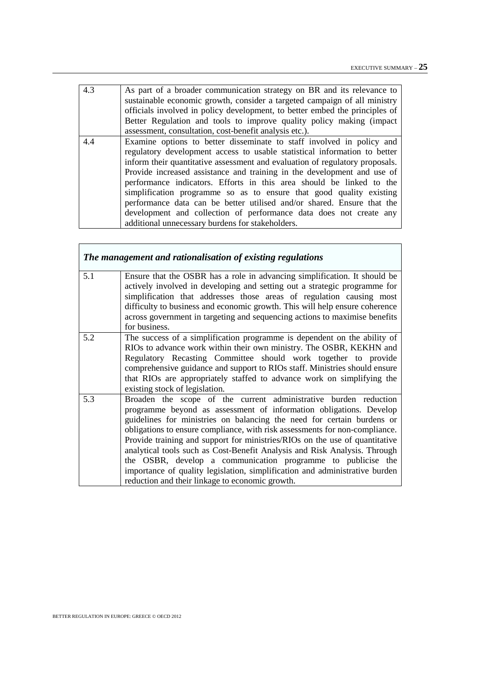| 4.3 | As part of a broader communication strategy on BR and its relevance to<br>sustainable economic growth, consider a targeted campaign of all ministry<br>officials involved in policy development, to better embed the principles of<br>Better Regulation and tools to improve quality policy making (impact<br>assessment, consultation, cost-benefit analysis etc.).                                                                                                                                                                                                                                                                                             |
|-----|------------------------------------------------------------------------------------------------------------------------------------------------------------------------------------------------------------------------------------------------------------------------------------------------------------------------------------------------------------------------------------------------------------------------------------------------------------------------------------------------------------------------------------------------------------------------------------------------------------------------------------------------------------------|
| 4.4 | Examine options to better disseminate to staff involved in policy and<br>regulatory development access to usable statistical information to better<br>inform their quantitative assessment and evaluation of regulatory proposals.<br>Provide increased assistance and training in the development and use of<br>performance indicators. Efforts in this area should be linked to the<br>simplification programme so as to ensure that good quality existing<br>performance data can be better utilised and/or shared. Ensure that the<br>development and collection of performance data does not create any<br>additional unnecessary burdens for stakeholders. |

| The management and rationalisation of existing regulations |                                                                                                                                                                                                                                                                                                                                                                                                                                                                                                                                                                                                                                                               |
|------------------------------------------------------------|---------------------------------------------------------------------------------------------------------------------------------------------------------------------------------------------------------------------------------------------------------------------------------------------------------------------------------------------------------------------------------------------------------------------------------------------------------------------------------------------------------------------------------------------------------------------------------------------------------------------------------------------------------------|
| 5.1                                                        | Ensure that the OSBR has a role in advancing simplification. It should be<br>actively involved in developing and setting out a strategic programme for<br>simplification that addresses those areas of regulation causing most<br>difficulty to business and economic growth. This will help ensure coherence<br>across government in targeting and sequencing actions to maximise benefits<br>for business.                                                                                                                                                                                                                                                  |
| 5.2                                                        | The success of a simplification programme is dependent on the ability of<br>RIOs to advance work within their own ministry. The OSBR, KEKHN and<br>Regulatory Recasting Committee should work together to provide<br>comprehensive guidance and support to RIOs staff. Ministries should ensure<br>that RIOs are appropriately staffed to advance work on simplifying the<br>existing stock of legislation.                                                                                                                                                                                                                                                   |
| 5.3                                                        | Broaden the scope of the current administrative burden reduction<br>programme beyond as assessment of information obligations. Develop<br>guidelines for ministries on balancing the need for certain burdens or<br>obligations to ensure compliance, with risk assessments for non-compliance.<br>Provide training and support for ministries/RIOs on the use of quantitative<br>analytical tools such as Cost-Benefit Analysis and Risk Analysis. Through<br>the OSBR, develop a communication programme to publicise the<br>importance of quality legislation, simplification and administrative burden<br>reduction and their linkage to economic growth. |